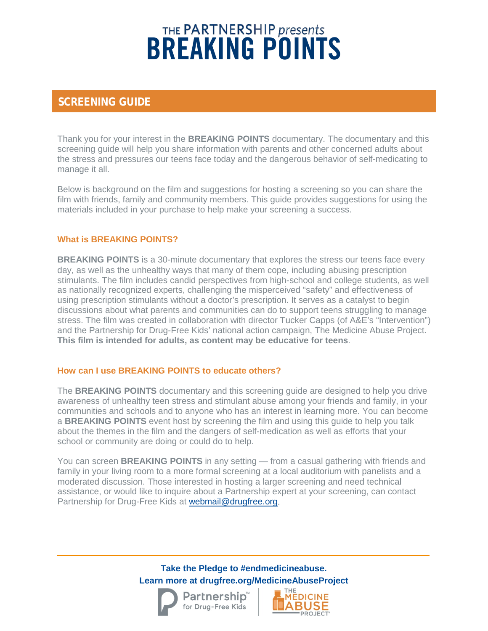# THE PARTNERSHIP presents<br>**BREAKING POINTS**

## **SCREENING GUIDE**

Thank you for your interest in the **BREAKING POINTS** documentary. The documentary and this screening guide will help you share information with parents and other concerned adults about the stress and pressures our teens face today and the dangerous behavior of self-medicating to manage it all.

Below is background on the film and suggestions for hosting a screening so you can share the film with friends, family and community members. This guide provides suggestions for using the materials included in your purchase to help make your screening a success.

## **What is BREAKING POINTS?**

**BREAKING POINTS** is a 30-minute documentary that explores the stress our teens face every day, as well as the unhealthy ways that many of them cope, including abusing prescription stimulants. The film includes candid perspectives from high-school and college students, as well as nationally recognized experts, challenging the misperceived "safety" and effectiveness of using prescription stimulants without a doctor's prescription. It serves as a catalyst to begin discussions about what parents and communities can do to support teens struggling to manage stress. The film was created in collaboration with director Tucker Capps (of A&E's "Intervention") and the Partnership for Drug-Free Kids' national action campaign, The Medicine Abuse Project. **This film is intended for adults, as content may be educative for teens**.

#### **How can I use BREAKING POINTS to educate others?**

The **BREAKING POINTS** documentary and this screening guide are designed to help you drive awareness of unhealthy teen stress and stimulant abuse among your friends and family, in your communities and schools and to anyone who has an interest in learning more. You can become a **BREAKING POINTS** event host by screening the film and using this guide to help you talk about the themes in the film and the dangers of self-medication as well as efforts that your school or community are doing or could do to help.

You can screen **BREAKING POINTS** in any setting — from a casual gathering with friends and family in your living room to a more formal screening at a local auditorium with panelists and a moderated discussion. Those interested in hosting a larger screening and need technical assistance, or would like to inquire about a Partnership expert at your screening, can contact Partnership for Drug-Free Kids at [webmail@drugfree.org.](mailto:webmail@drugfree.org)

> **Take the Pledge to #endmedicineabuse. Learn more at drugfree.org/MedicineAbuseProject**





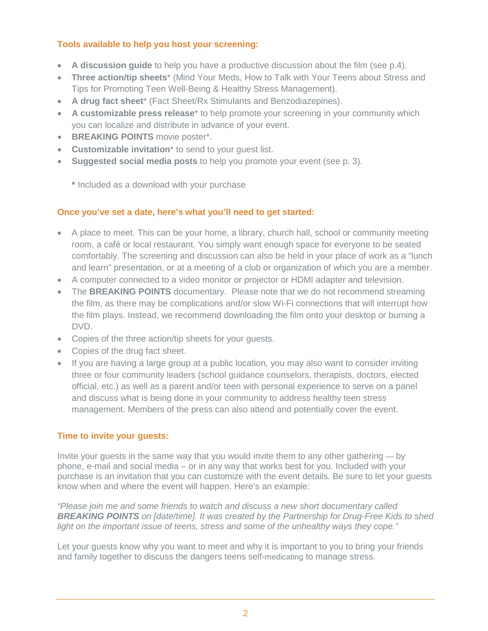## **Tools available to help you host your screening:**

- **A discussion guide** to help you have a productive discussion about the film (see p.4).
- **Three action/tip sheets**\* (Mind Your Meds, How to Talk with Your Teens about Stress and Tips for Promoting Teen Well-Being & Healthy Stress Management).
- **A drug fact sheet**\* (Fact Sheet/Rx Stimulants and Benzodiazepines).
- **A customizable press release**\* to help promote your screening in your community which you can localize and distribute in advance of your event.
- **BREAKING POINTS** movie poster\*.
- **Customizable invitation**<sup>\*</sup> to send to your quest list.
- **Suggested social media posts** to help you promote your event (see p. 3).

**\*** Included as a download with your purchase

## **Once you've set a date, here's what you'll need to get started:**

- A place to meet. This can be your home, a library, church hall, school or community meeting room, a café or local restaurant. You simply want enough space for everyone to be seated comfortably. The screening and discussion can also be held in your place of work as a "lunch and learn" presentation, or at a meeting of a club or organization of which you are a member.
- A computer connected to a video monitor or projector or HDMI adapter and television.
- The **BREAKING POINTS** documentary. Please note that we do not recommend streaming the film, as there may be complications and/or slow Wi-Fi connections that will interrupt how the film plays. Instead, we recommend downloading the film onto your desktop or burning a DVD.
- Copies of the three action/tip sheets for your guests.
- Copies of the drug fact sheet.
- If you are having a large group at a public location, you may also want to consider inviting three or four community leaders (school guidance counselors, therapists, doctors, elected official, etc.) as well as a parent and/or teen with personal experience to serve on a panel and discuss what is being done in your community to address healthy teen stress management. Members of the press can also attend and potentially cover the event.

## **Time to invite your guests:**

Invite your guests in the same way that you would invite them to any other gathering — by phone, e-mail and social media – or in any way that works best for you. Included with your purchase is an invitation that you can customize with the event details. Be sure to let your guests know when and where the event will happen. Here's an example:

*"Please join me and some friends to watch and discuss a new short documentary called BREAKING POINTS on [date/time]. It was created by the Partnership for Drug-Free Kids to shed light on the important issue of teens, stress and some of the unhealthy ways they cope."*

Let your guests know why you want to meet and why it is important to you to bring your friends and family together to discuss the dangers teens self-medicating to manage stress.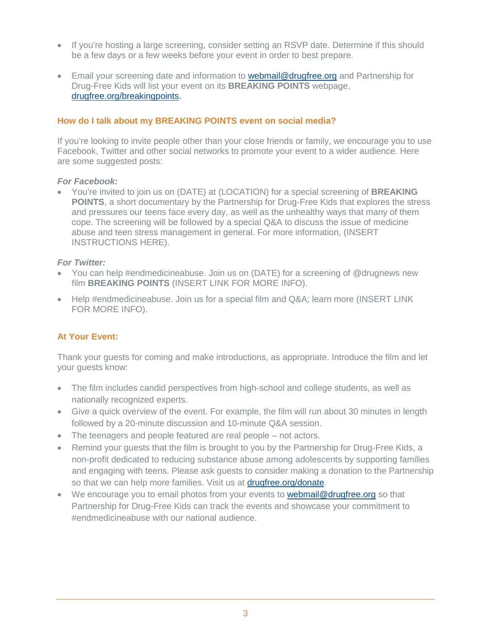- If you're hosting a large screening, consider setting an RSVP date. Determine if this should be a few days or a few weeks before your event in order to best prepare.
- Email your screening date and information to **webmail@drugfree.org** and Partnership for Drug-Free Kids will list your event on its **BREAKING POINTS** webpage, [drugfree.org/breakingpoints](http://www.drugfree.org/breakingpoints)**.**

#### **How do I talk about my BREAKING POINTS event on social media?**

If you're looking to invite people other than your close friends or family, we encourage you to use Facebook, Twitter and other social networks to promote your event to a wider audience. Here are some suggested posts:

#### *For Facebook:*

• You're invited to join us on (DATE) at (LOCATION) for a special screening of **BREAKING POINTS**, a short documentary by the Partnership for Drug-Free Kids that explores the stress and pressures our teens face every day, as well as the unhealthy ways that many of them cope. The screening will be followed by a special Q&A to discuss the issue of medicine abuse and teen stress management in general. For more information, (INSERT INSTRUCTIONS HERE).

#### *For Twitter:*

- You can help #endmedicineabuse. Join us on (DATE) for a screening of @drugnews new film **BREAKING POINTS** (INSERT LINK FOR MORE INFO).
- Help #endmedicineabuse. Join us for a special film and Q&A; learn more (INSERT LINK) FOR MORE INFO).

## **At Your Event:**

Thank your guests for coming and make introductions, as appropriate. Introduce the film and let your guests know:

- The film includes candid perspectives from high-school and college students, as well as nationally recognized experts.
- Give a quick overview of the event. For example, the film will run about 30 minutes in length followed by a 20-minute discussion and 10-minute Q&A session.
- The teenagers and people featured are real people not actors.
- Remind your guests that the film is brought to you by the Partnership for Drug-Free Kids, a non-profit dedicated to reducing substance abuse among adolescents by supporting families and engaging with teens. Please ask guests to consider making a donation to the Partnership so that we can help more families. Visit us at [drugfree.org/donate.](http://www.drugfree.org/donate)
- We encourage you to email photos from your events to **webmail@drugfree.org** so that Partnership for Drug-Free Kids can track the events and showcase your commitment to #endmedicineabuse with our national audience.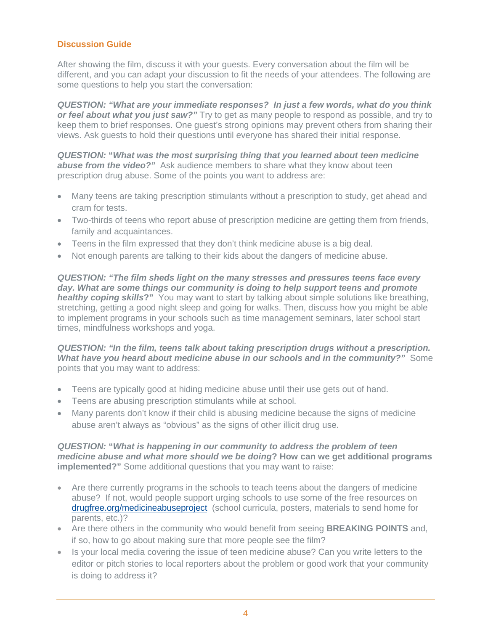#### **Discussion Guide**

After showing the film, discuss it with your guests. Every conversation about the film will be different, and you can adapt your discussion to fit the needs of your attendees. The following are some questions to help you start the conversation:

*QUESTION: "What are your immediate responses? In just a few words, what do you think or feel about what you just saw?"* Try to get as many people to respond as possible, and try to keep them to brief responses. One guest's strong opinions may prevent others from sharing their views. Ask guests to hold their questions until everyone has shared their initial response.

*QUESTION:* **"***What was the most surprising thing that you learned about teen medicine*  **abuse from the video?**" Ask audience members to share what they know about teen prescription drug abuse. Some of the points you want to address are:

- Many teens are taking prescription stimulants without a prescription to study, get ahead and cram for tests.
- Two-thirds of teens who report abuse of prescription medicine are getting them from friends, family and acquaintances.
- Teens in the film expressed that they don't think medicine abuse is a big deal.
- Not enough parents are talking to their kids about the dangers of medicine abuse.

*QUESTION: "The film sheds light on the many stresses and pressures teens face every day. What are some things our community is doing to help support teens and promote healthy coping skills***?"** You may want to start by talking about simple solutions like breathing, stretching, getting a good night sleep and going for walks. Then, discuss how you might be able to implement programs in your schools such as time management seminars, later school start times, mindfulness workshops and yoga.

*QUESTION: "In the film, teens talk about taking prescription drugs without a prescription. What have you heard about medicine abuse in our schools and in the community?"* Some points that you may want to address:

- Teens are typically good at hiding medicine abuse until their use gets out of hand.
- Teens are abusing prescription stimulants while at school.
- Many parents don't know if their child is abusing medicine because the signs of medicine abuse aren't always as "obvious" as the signs of other illicit drug use.

#### *QUESTION:* **"***What is happening in our community to address the problem of teen medicine abuse and what more should we be doing***? How can we get additional programs implemented?"** Some additional questions that you may want to raise:

- Are there currently programs in the schools to teach teens about the dangers of medicine abuse? If not, would people support urging schools to use some of the free resources on [drugfree.org/medicineabuseproject](http://www.drugfree.org/medicineabuseproject) (school curricula, posters, materials to send home for parents, etc.)?
- Are there others in the community who would benefit from seeing **BREAKING POINTS** and, if so, how to go about making sure that more people see the film?
- Is your local media covering the issue of teen medicine abuse? Can you write letters to the editor or pitch stories to local reporters about the problem or good work that your community is doing to address it?